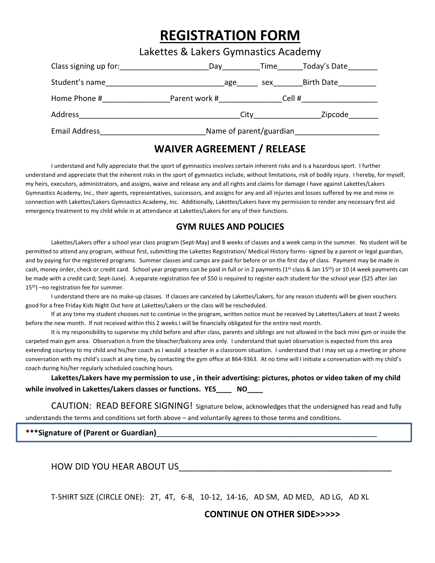## REGISTRATION FORM

|                      | Lakettes & Lakers Gymnastics Academy |  |                |  |
|----------------------|--------------------------------------|--|----------------|--|
|                      |                                      |  |                |  |
| Student's name       | age                                  |  | sex Birth Date |  |
| Home Phone #         | Parent work #                        |  | Cell #         |  |
| Address              | City                                 |  | Zipcode        |  |
| <b>Email Address</b> | Name of parent/guardian              |  |                |  |

### WAIVER AGREEMENT / RELEASE

I understand and fully appreciate that the sport of gymnastics involves certain inherent risks and is a hazardous sport. I further understand and appreciate that the inherent risks in the sport of gymnastics include, without limitations, risk of bodily injury. I hereby, for myself, my heirs, executors, administrators, and assigns, waive and release any and all rights and claims for damage I have against Lakettes/Lakers Gymnastics Academy, Inc., their agents, representatives, successors, and assigns for any and all injuries and losses suffered by me and mine in connection with Lakettes/Lakers Gymnastics Academy, Inc. Additionally, Lakettes/Lakers have my permission to render any necessary first aid emergency treatment to my child while in at attendance at Lakettes/Lakers for any of their functions.

#### GYM RULES AND POLICIES

Lakettes/Lakers offer a school year class program (Sept-May) and 8 weeks of classes and a week camp in the summer. No student will be permitted to attend any program, without first, submitting the Lakettes Registration/ Medical History forms- signed by a parent or legal guardian, and by paying for the registered programs. Summer classes and camps are paid for before or on the first day of class. Payment may be made in cash, money order, check or credit card. School year programs can be paid in full or in 2 payments (1<sup>st</sup> class & Jan 15<sup>th</sup>) or 10 (4 week payments can be made with a credit card; Sept-June). A separate registration fee of \$50 is required to register each student for the school year (\$25 after Jan 15th) –no registration fee for summer.

I understand there are no make-up classes. If classes are canceled by Lakettes/Lakers, for any reason students will be given vouchers good for a free Friday Kids Night Out here at Lakettes/Lakers or the class will be rescheduled.

If at any time my student chooses not to continue in the program, written notice must be received by Lakettes/Lakers at least 2 weeks before the new month. If not received within this 2 weeks I will be financially obligated for the entire next month.

It is my responsibility to supervise my child before and after class, parents and siblings are not allowed in the back mini gym or inside the carpeted main gym area. Observation is from the bleacher/balcony area only. I understand that quiet observation is expected from this area extending courtesy to my child and his/her coach as I would a teacher in a classroom situation. I understand that I may set up a meeting or phone conversation with my child's coach at any time, by contacting the gym office at 864-9363. At no time will I initiate a conversation with my child's coach during his/her regularly scheduled coaching hours.

Lakettes/Lakers have my permission to use , in their advertising: pictures, photos or video taken of my child while involved in Lakettes/Lakers classes or functions. YES \_\_\_\_ NO

CAUTION: READ BEFORE SIGNING! Signature below, acknowledges that the undersigned has read and fully understands the terms and conditions set forth above – and voluntarily agrees to those terms and conditions.

\*\*\*Signature of (Parent or Guardian)

HOW DID YOU HEAR ABOUT US

T-SHIRT SIZE (CIRCLE ONE): 2T, 4T, 6-8, 10-12, 14-16, AD SM, AD MED, AD LG, AD XL

#### CONTINUE ON OTHER SIDE>>>>>